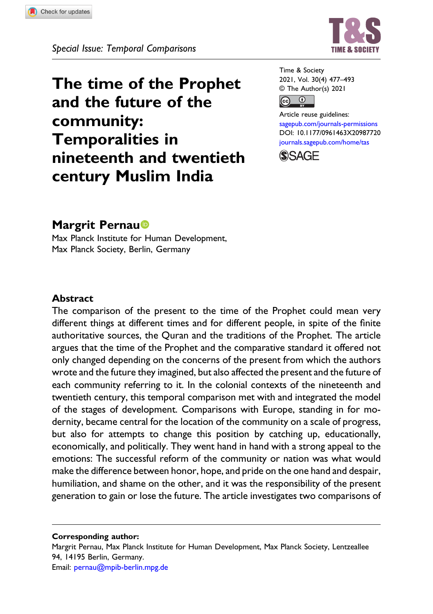

The time of the Prophet and the future of the community: Temporalities in nineteenth and twentieth century Muslim India

Time & Society 2021, Vol. 30(4) 477–493 © The Author(s) 2021



Article reuse guidelines: [sagepub.com/journals-permissions](https://uk.sagepub.com/en-gb/journals-permissions) DOI: [10.1177/0961463X20987720](https://doi.org/10.1177/0961463X20987720) [journals.sagepub.com/home/tas](https://journals.sagepub.com/home/tas)



# Margrit Pernau<sup>®</sup>

Max Planck Institute for Human Development, Max Planck Society, Berlin, Germany

#### Abstract

The comparison of the present to the time of the Prophet could mean very different things at different times and for different people, in spite of the finite authoritative sources, the Quran and the traditions of the Prophet. The article argues that the time of the Prophet and the comparative standard it offered not only changed depending on the concerns of the present from which the authors wrote and the future they imagined, but also affected the present and the future of each community referring to it. In the colonial contexts of the nineteenth and twentieth century, this temporal comparison met with and integrated the model of the stages of development. Comparisons with Europe, standing in for modernity, became central for the location of the community on a scale of progress, but also for attempts to change this position by catching up, educationally, economically, and politically. They went hand in hand with a strong appeal to the emotions: The successful reform of the community or nation was what would make the difference between honor, hope, and pride on the one hand and despair, humiliation, and shame on the other, and it was the responsibility of the present generation to gain or lose the future. The article investigates two comparisons of

Corresponding author:

Margrit Pernau, Max Planck Institute for Human Development, Max Planck Society, Lentzeallee 94, 14195 Berlin, Germany. Email: [pernau@mpib-berlin.mpg.de](mailto:pernau@mpib-berlin.mpg.de)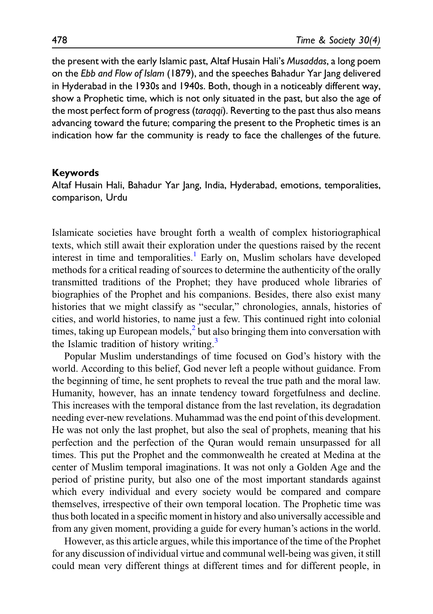the present with the early Islamic past, Altaf Husain Hali's Musaddas, a long poem on the Ebb and Flow of Islam (1879), and the speeches Bahadur Yar lang delivered in Hyderabad in the 1930s and 1940s. Both, though in a noticeably different way, show a Prophetic time, which is not only situated in the past, but also the age of the most perfect form of progress (taragqi). Reverting to the past thus also means advancing toward the future; comparing the present to the Prophetic times is an indication how far the community is ready to face the challenges of the future.

#### Keywords

Altaf Husain Hali, Bahadur Yar Jang, India, Hyderabad, emotions, temporalities, comparison, Urdu

Islamicate societies have brought forth a wealth of complex historiographical texts, which still await their exploration under the questions raised by the recent interest in time and temporalities.<sup>[1](#page-14-0)</sup> Early on, Muslim scholars have developed methods for a critical reading of sources to determine the authenticity of the orally transmitted traditions of the Prophet; they have produced whole libraries of biographies of the Prophet and his companions. Besides, there also exist many histories that we might classify as "secular," chronologies, annals, histories of cities, and world histories, to name just a few. This continued right into colonial times, taking up European models, $<sup>2</sup>$  $<sup>2</sup>$  $<sup>2</sup>$  but also bringing them into conversation with</sup> the Islamic tradition of history writing.<sup>[3](#page-14-2)</sup>

Popular Muslim understandings of time focused on God's history with the world. According to this belief, God never left a people without guidance. From the beginning of time, he sent prophets to reveal the true path and the moral law. Humanity, however, has an innate tendency toward forgetfulness and decline. This increases with the temporal distance from the last revelation, its degradation needing ever-new revelations. Muhammad was the end point of this development. He was not only the last prophet, but also the seal of prophets, meaning that his perfection and the perfection of the Quran would remain unsurpassed for all times. This put the Prophet and the commonwealth he created at Medina at the center of Muslim temporal imaginations. It was not only a Golden Age and the period of pristine purity, but also one of the most important standards against which every individual and every society would be compared and compare themselves, irrespective of their own temporal location. The Prophetic time was thus both located in a specific moment in history and also universally accessible and from any given moment, providing a guide for every human's actions in the world.

However, as this article argues, while this importance of the time of the Prophet for any discussion of individual virtue and communal well-being was given, it still could mean very different things at different times and for different people, in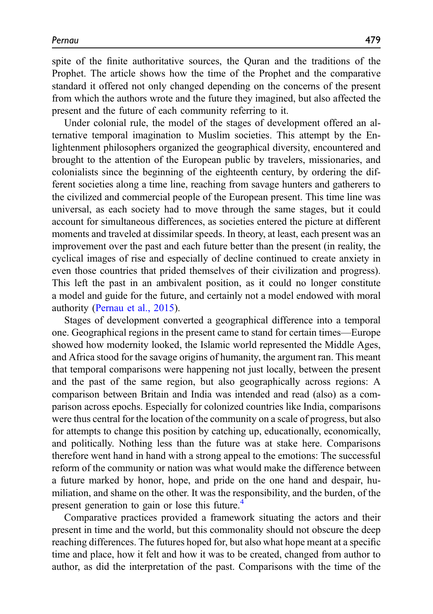spite of the finite authoritative sources, the Quran and the traditions of the Prophet. The article shows how the time of the Prophet and the comparative standard it offered not only changed depending on the concerns of the present from which the authors wrote and the future they imagined, but also affected the present and the future of each community referring to it.

Under colonial rule, the model of the stages of development offered an alternative temporal imagination to Muslim societies. This attempt by the Enlightenment philosophers organized the geographical diversity, encountered and brought to the attention of the European public by travelers, missionaries, and colonialists since the beginning of the eighteenth century, by ordering the different societies along a time line, reaching from savage hunters and gatherers to the civilized and commercial people of the European present. This time line was universal, as each society had to move through the same stages, but it could account for simultaneous differences, as societies entered the picture at different moments and traveled at dissimilar speeds. In theory, at least, each present was an improvement over the past and each future better than the present (in reality, the cyclical images of rise and especially of decline continued to create anxiety in even those countries that prided themselves of their civilization and progress). This left the past in an ambivalent position, as it could no longer constitute a model and guide for the future, and certainly not a model endowed with moral authority ([Pernau et al., 2015](#page-16-0)).

Stages of development converted a geographical difference into a temporal one. Geographical regions in the present came to stand for certain times—Europe showed how modernity looked, the Islamic world represented the Middle Ages, and Africa stood for the savage origins of humanity, the argument ran. This meant that temporal comparisons were happening not just locally, between the present and the past of the same region, but also geographically across regions: A comparison between Britain and India was intended and read (also) as a comparison across epochs. Especially for colonized countries like India, comparisons were thus central for the location of the community on a scale of progress, but also for attempts to change this position by catching up, educationally, economically, and politically. Nothing less than the future was at stake here. Comparisons therefore went hand in hand with a strong appeal to the emotions: The successful reform of the community or nation was what would make the difference between a future marked by honor, hope, and pride on the one hand and despair, humiliation, and shame on the other. It was the responsibility, and the burden, of the present generation to gain or lose this future.<sup>[4](#page-15-0)</sup>

Comparative practices provided a framework situating the actors and their present in time and the world, but this commonality should not obscure the deep reaching differences. The futures hoped for, but also what hope meant at a specific time and place, how it felt and how it was to be created, changed from author to author, as did the interpretation of the past. Comparisons with the time of the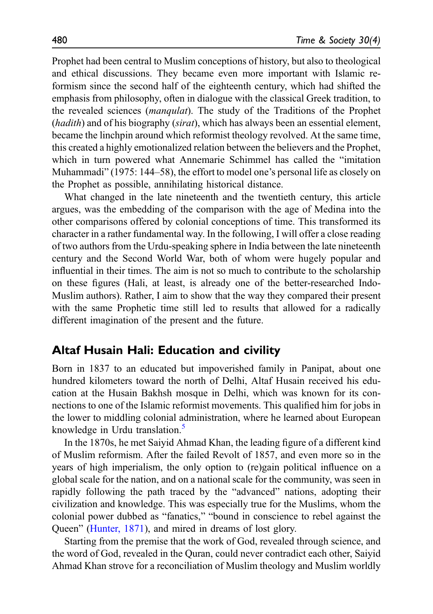Prophet had been central to Muslim conceptions of history, but also to theological and ethical discussions. They became even more important with Islamic reformism since the second half of the eighteenth century, which had shifted the emphasis from philosophy, often in dialogue with the classical Greek tradition, to the revealed sciences (manqulat). The study of the Traditions of the Prophet (*hadith*) and of his biography (*sirat*), which has always been an essential element, became the linchpin around which reformist theology revolved. At the same time, this created a highly emotionalized relation between the believers and the Prophet, which in turn powered what Annemarie Schimmel has called the "imitation Muhammadi" (1975: 144–58), the effort to model one's personal life as closely on the Prophet as possible, annihilating historical distance.

What changed in the late nineteenth and the twentieth century, this article argues, was the embedding of the comparison with the age of Medina into the other comparisons offered by colonial conceptions of time. This transformed its character in a rather fundamental way. In the following, I will offer a close reading of two authors from the Urdu-speaking sphere in India between the late nineteenth century and the Second World War, both of whom were hugely popular and influential in their times. The aim is not so much to contribute to the scholarship on these figures (Hali, at least, is already one of the better-researched Indo-Muslim authors). Rather, I aim to show that the way they compared their present with the same Prophetic time still led to results that allowed for a radically different imagination of the present and the future.

## Altaf Husain Hali: Education and civility

Born in 1837 to an educated but impoverished family in Panipat, about one hundred kilometers toward the north of Delhi, Altaf Husain received his education at the Husain Bakhsh mosque in Delhi, which was known for its connections to one of the Islamic reformist movements. This qualified him for jobs in the lower to middling colonial administration, where he learned about European knowledge in Urdu translation.<sup>5</sup>

In the 1870s, he met Saiyid Ahmad Khan, the leading figure of a different kind of Muslim reformism. After the failed Revolt of 1857, and even more so in the years of high imperialism, the only option to (re)gain political influence on a global scale for the nation, and on a national scale for the community, was seen in rapidly following the path traced by the "advanced" nations, adopting their civilization and knowledge. This was especially true for the Muslims, whom the colonial power dubbed as "fanatics," "bound in conscience to rebel against the Queen" [\(Hunter, 1871](#page-15-2)), and mired in dreams of lost glory.

Starting from the premise that the work of God, revealed through science, and the word of God, revealed in the Quran, could never contradict each other, Saiyid Ahmad Khan strove for a reconciliation of Muslim theology and Muslim worldly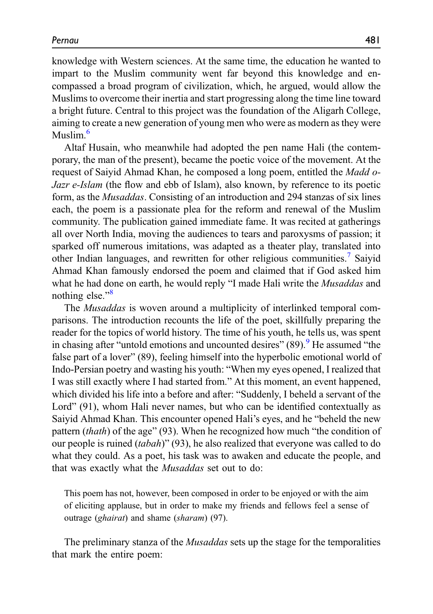knowledge with Western sciences. At the same time, the education he wanted to impart to the Muslim community went far beyond this knowledge and encompassed a broad program of civilization, which, he argued, would allow the Muslims to overcome their inertia and start progressing along the time line toward a bright future. Central to this project was the foundation of the Aligarh College, aiming to create a new generation of young men who were as modern as they were Muslim $<sup>6</sup>$  $<sup>6</sup>$  $<sup>6</sup>$ </sup>

Altaf Husain, who meanwhile had adopted the pen name Hali (the contemporary, the man of the present), became the poetic voice of the movement. At the request of Saiyid Ahmad Khan, he composed a long poem, entitled the *Madd o-*Jazr e-Islam (the flow and ebb of Islam), also known, by reference to its poetic form, as the Musaddas. Consisting of an introduction and 294 stanzas of six lines each, the poem is a passionate plea for the reform and renewal of the Muslim community. The publication gained immediate fame. It was recited at gatherings all over North India, moving the audiences to tears and paroxysms of passion; it sparked off numerous imitations, was adapted as a theater play, translated into other Indian languages, and rewritten for other religious communities.<sup>[7](#page-15-4)</sup> Saiyid Ahmad Khan famously endorsed the poem and claimed that if God asked him what he had done on earth, he would reply "I made Hali write the *Musaddas* and nothing else."<sup>[8](#page-15-5)</sup>

The Musaddas is woven around a multiplicity of interlinked temporal comparisons. The introduction recounts the life of the poet, skillfully preparing the reader for the topics of world history. The time of his youth, he tells us, was spent in chasing after "untold emotions and uncounted desires"  $(89)$  $(89)$  $(89)$ . He assumed "the false part of a lover" (89), feeling himself into the hyperbolic emotional world of Indo-Persian poetry and wasting his youth: "When my eyes opened, I realized that I was still exactly where I had started from." At this moment, an event happened, which divided his life into a before and after: "Suddenly, I beheld a servant of the Lord" (91), whom Hali never names, but who can be identified contextually as Saiyid Ahmad Khan. This encounter opened Hali's eyes, and he "beheld the new pattern (thath) of the age" (93). When he recognized how much "the condition of our people is ruined  $(tabah)$ " (93), he also realized that everyone was called to do what they could. As a poet, his task was to awaken and educate the people, and that was exactly what the Musaddas set out to do:

This poem has not, however, been composed in order to be enjoyed or with the aim of eliciting applause, but in order to make my friends and fellows feel a sense of outrage (ghairat) and shame (sharam) (97).

The preliminary stanza of the *Musaddas* sets up the stage for the temporalities that mark the entire poem: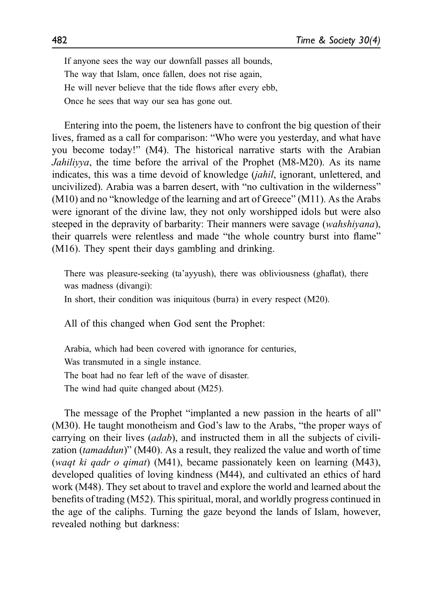If anyone sees the way our downfall passes all bounds, The way that Islam, once fallen, does not rise again, He will never believe that the tide flows after every ebb, Once he sees that way our sea has gone out.

Entering into the poem, the listeners have to confront the big question of their lives, framed as a call for comparison: "Who were you yesterday, and what have you become today!" (M4). The historical narrative starts with the Arabian Jahiliyya, the time before the arrival of the Prophet (M8-M20). As its name indicates, this was a time devoid of knowledge *(jahil*, ignorant, unlettered, and uncivilized). Arabia was a barren desert, with "no cultivation in the wilderness" (M10) and no "knowledge of the learning and art of Greece" (M11). As the Arabs were ignorant of the divine law, they not only worshipped idols but were also steeped in the depravity of barbarity: Their manners were savage *(wahshiyana)*, their quarrels were relentless and made "the whole country burst into flame" (M16). They spent their days gambling and drinking.

There was pleasure-seeking (ta'ayyush), there was obliviousness (ghaflat), there was madness (divangi): In short, their condition was iniquitous (burra) in every respect (M20).

All of this changed when God sent the Prophet:

Arabia, which had been covered with ignorance for centuries, Was transmuted in a single instance. The boat had no fear left of the wave of disaster. The wind had quite changed about (M25).

The message of the Prophet "implanted a new passion in the hearts of all" (M30). He taught monotheism and God's law to the Arabs, "the proper ways of carrying on their lives  $(adab)$ , and instructed them in all the subjects of civilization (tamaddun)" (M40). As a result, they realized the value and worth of time (waqt ki qadr o qimat) (M41), became passionately keen on learning (M43), developed qualities of loving kindness (M44), and cultivated an ethics of hard work (M48). They set about to travel and explore the world and learned about the benefits of trading (M52). This spiritual, moral, and worldly progress continued in the age of the caliphs. Turning the gaze beyond the lands of Islam, however, revealed nothing but darkness: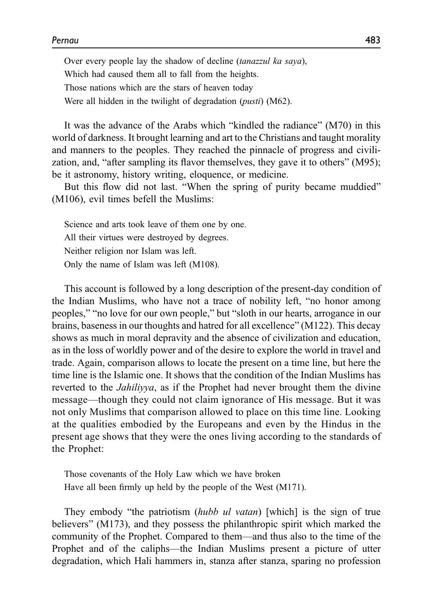Over every people lay the shadow of decline (tanazzul ka saya), Which had caused them all to fall from the heights. Those nations which are the stars of heaven today Were all hidden in the twilight of degradation (*pusti*) (M62).

It was the advance of the Arabs which "kindled the radiance" (M70) in this world of darkness. It brought learning and art to the Christians and taught morality and manners to the peoples. They reached the pinnacle of progress and civilization, and, "after sampling its flavor themselves, they gave it to others" (M95); be it astronomy, history writing, eloquence, or medicine.

But this flow did not last. "When the spring of purity became muddied" (M106), evil times befell the Muslims:

Science and arts took leave of them one by one. All their virtues were destroyed by degrees. Neither religion nor Islam was left. Only the name of Islam was left (M108).

This account is followed by a long description of the present-day condition of the Indian Muslims, who have not a trace of nobility left, "no honor among peoples," "no love for our own people," but "sloth in our hearts, arrogance in our brains, baseness in our thoughts and hatred for all excellence" (M122). This decay shows as much in moral depravity and the absence of civilization and education, as in the loss of worldly power and of the desire to explore the world in travel and trade. Again, comparison allows to locate the present on a time line, but here the time line is the Islamic one. It shows that the condition of the Indian Muslims has reverted to the Jahiliyya, as if the Prophet had never brought them the divine message—though they could not claim ignorance of His message. But it was not only Muslims that comparison allowed to place on this time line. Looking at the qualities embodied by the Europeans and even by the Hindus in the present age shows that they were the ones living according to the standards of the Prophet:

Those covenants of the Holy Law which we have broken Have all been firmly up held by the people of the West (M171).

They embody "the patriotism *(hubb ul vatan)* [which] is the sign of true believers" (M173), and they possess the philanthropic spirit which marked the community of the Prophet. Compared to them—and thus also to the time of the Prophet and of the caliphs—the Indian Muslims present a picture of utter degradation, which Hali hammers in, stanza after stanza, sparing no profession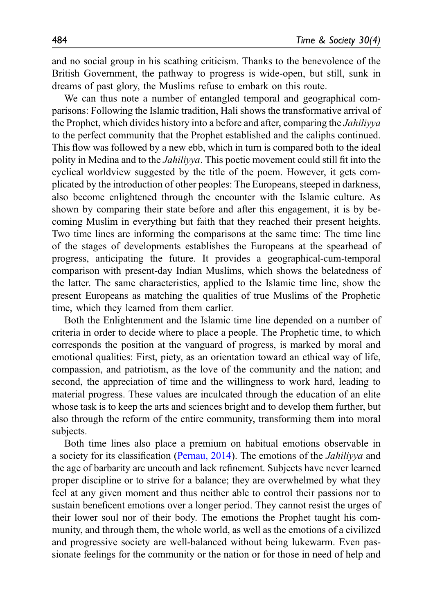and no social group in his scathing criticism. Thanks to the benevolence of the British Government, the pathway to progress is wide-open, but still, sunk in dreams of past glory, the Muslims refuse to embark on this route.

We can thus note a number of entangled temporal and geographical comparisons: Following the Islamic tradition, Hali shows the transformative arrival of the Prophet, which divides history into a before and after, comparing the Jahiliyya to the perfect community that the Prophet established and the caliphs continued. This flow was followed by a new ebb, which in turn is compared both to the ideal polity in Medina and to the Jahiliyya. This poetic movement could still fit into the cyclical worldview suggested by the title of the poem. However, it gets complicated by the introduction of other peoples: The Europeans, steeped in darkness, also become enlightened through the encounter with the Islamic culture. As shown by comparing their state before and after this engagement, it is by becoming Muslim in everything but faith that they reached their present heights. Two time lines are informing the comparisons at the same time: The time line of the stages of developments establishes the Europeans at the spearhead of progress, anticipating the future. It provides a geographical-cum-temporal comparison with present-day Indian Muslims, which shows the belatedness of the latter. The same characteristics, applied to the Islamic time line, show the present Europeans as matching the qualities of true Muslims of the Prophetic time, which they learned from them earlier.

Both the Enlightenment and the Islamic time line depended on a number of criteria in order to decide where to place a people. The Prophetic time, to which corresponds the position at the vanguard of progress, is marked by moral and emotional qualities: First, piety, as an orientation toward an ethical way of life, compassion, and patriotism, as the love of the community and the nation; and second, the appreciation of time and the willingness to work hard, leading to material progress. These values are inculcated through the education of an elite whose task is to keep the arts and sciences bright and to develop them further, but also through the reform of the entire community, transforming them into moral subjects.

Both time lines also place a premium on habitual emotions observable in a society for its classification ([Pernau, 2014\)](#page-16-1). The emotions of the Jahiliyya and the age of barbarity are uncouth and lack refinement. Subjects have never learned proper discipline or to strive for a balance; they are overwhelmed by what they feel at any given moment and thus neither able to control their passions nor to sustain beneficent emotions over a longer period. They cannot resist the urges of their lower soul nor of their body. The emotions the Prophet taught his community, and through them, the whole world, as well as the emotions of a civilized and progressive society are well-balanced without being lukewarm. Even passionate feelings for the community or the nation or for those in need of help and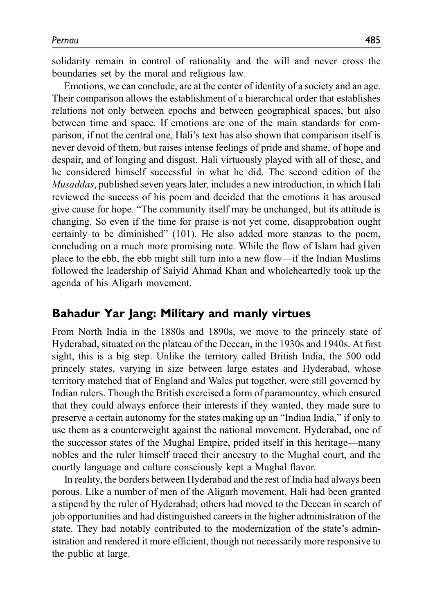solidarity remain in control of rationality and the will and never cross the boundaries set by the moral and religious law.

Emotions, we can conclude, are at the center of identity of a society and an age. Their comparison allows the establishment of a hierarchical order that establishes relations not only between epochs and between geographical spaces, but also between time and space. If emotions are one of the main standards for comparison, if not the central one, Hali's text has also shown that comparison itself is never devoid of them, but raises intense feelings of pride and shame, of hope and despair, and of longing and disgust. Hali virtuously played with all of these, and he considered himself successful in what he did. The second edition of the Musaddas, published seven years later, includes a new introduction, in which Hali reviewed the success of his poem and decided that the emotions it has aroused give cause for hope. "The community itself may be unchanged, but its attitude is changing. So even if the time for praise is not yet come, disapprobation ought certainly to be diminished" (101). He also added more stanzas to the poem, concluding on a much more promising note. While the flow of Islam had given place to the ebb, the ebb might still turn into a new flow—if the Indian Muslims followed the leadership of Saiyid Ahmad Khan and wholeheartedly took up the agenda of his Aligarh movement.

# Bahadur Yar Jang: Military and manly virtues

From North India in the 1880s and 1890s, we move to the princely state of Hyderabad, situated on the plateau of the Deccan, in the 1930s and 1940s. At first sight, this is a big step. Unlike the territory called British India, the 500 odd princely states, varying in size between large estates and Hyderabad, whose territory matched that of England and Wales put together, were still governed by Indian rulers. Though the British exercised a form of paramountcy, which ensured that they could always enforce their interests if they wanted, they made sure to preserve a certain autonomy for the states making up an "Indian India," if only to use them as a counterweight against the national movement. Hyderabad, one of the successor states of the Mughal Empire, prided itself in this heritage—many nobles and the ruler himself traced their ancestry to the Mughal court, and the courtly language and culture consciously kept a Mughal flavor.

In reality, the borders between Hyderabad and the rest of India had always been porous. Like a number of men of the Aligarh movement, Hali had been granted a stipend by the ruler of Hyderabad; others had moved to the Deccan in search of job opportunities and had distinguished careers in the higher administration of the state. They had notably contributed to the modernization of the state's administration and rendered it more efficient, though not necessarily more responsive to the public at large.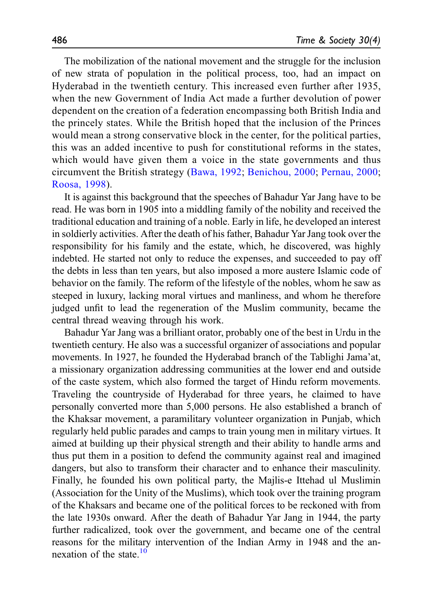The mobilization of the national movement and the struggle for the inclusion of new strata of population in the political process, too, had an impact on Hyderabad in the twentieth century. This increased even further after 1935, when the new Government of India Act made a further devolution of power dependent on the creation of a federation encompassing both British India and the princely states. While the British hoped that the inclusion of the Princes would mean a strong conservative block in the center, for the political parties, this was an added incentive to push for constitutional reforms in the states, which would have given them a voice in the state governments and thus circumvent the British strategy ([Bawa, 1992](#page-15-7); [Benichou, 2000;](#page-15-8) [Pernau, 2000](#page-15-9); [Roosa, 1998](#page-16-2)).

It is against this background that the speeches of Bahadur Yar Jang have to be read. He was born in 1905 into a middling family of the nobility and received the traditional education and training of a noble. Early in life, he developed an interest in soldierly activities. After the death of his father, Bahadur Yar Jang took over the responsibility for his family and the estate, which, he discovered, was highly indebted. He started not only to reduce the expenses, and succeeded to pay off the debts in less than ten years, but also imposed a more austere Islamic code of behavior on the family. The reform of the lifestyle of the nobles, whom he saw as steeped in luxury, lacking moral virtues and manliness, and whom he therefore judged unfit to lead the regeneration of the Muslim community, became the central thread weaving through his work.

Bahadur Yar Jang was a brilliant orator, probably one of the best in Urdu in the twentieth century. He also was a successful organizer of associations and popular movements. In 1927, he founded the Hyderabad branch of the Tablighi Jama'at, a missionary organization addressing communities at the lower end and outside of the caste system, which also formed the target of Hindu reform movements. Traveling the countryside of Hyderabad for three years, he claimed to have personally converted more than 5,000 persons. He also established a branch of the Khaksar movement, a paramilitary volunteer organization in Punjab, which regularly held public parades and camps to train young men in military virtues. It aimed at building up their physical strength and their ability to handle arms and thus put them in a position to defend the community against real and imagined dangers, but also to transform their character and to enhance their masculinity. Finally, he founded his own political party, the Majlis-e Ittehad ul Muslimin (Association for the Unity of the Muslims), which took over the training program of the Khaksars and became one of the political forces to be reckoned with from the late 1930s onward. After the death of Bahadur Yar Jang in 1944, the party further radicalized, took over the government, and became one of the central reasons for the military intervention of the Indian Army in 1948 and the annexation of the state  $\frac{10}{10}$  $\frac{10}{10}$  $\frac{10}{10}$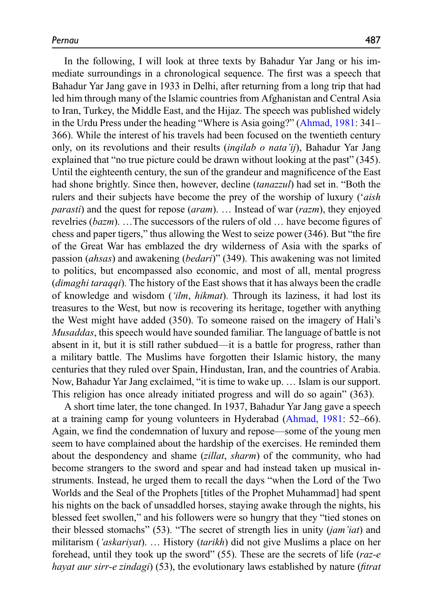In the following, I will look at three texts by Bahadur Yar Jang or his immediate surroundings in a chronological sequence. The first was a speech that Bahadur Yar Jang gave in 1933 in Delhi, after returning from a long trip that had led him through many of the Islamic countries from Afghanistan and Central Asia to Iran, Turkey, the Middle East, and the Hijaz. The speech was published widely in the Urdu Press under the heading "Where is Asia going?" ([Ahmad, 1981](#page-15-11): 341– 366). While the interest of his travels had been focused on the twentieth century only, on its revolutions and their results *(inqilab o nata'ij)*, Bahadur Yar Jang explained that "no true picture could be drawn without looking at the past" (345). Until the eighteenth century, the sun of the grandeur and magnificence of the East had shone brightly. Since then, however, decline *(tanazzul)* had set in. "Both the rulers and their subjects have become the prey of the worship of luxury ('aish *parasti*) and the quest for repose (*aram*). ... Instead of war (*razm*), they enjoyed revelries (bazm). …The successors of the rulers of old … have become figures of chess and paper tigers," thus allowing the West to seize power (346). But "the fire of the Great War has emblazed the dry wilderness of Asia with the sparks of passion (ahsas) and awakening (bedari)" (349). This awakening was not limited to politics, but encompassed also economic, and most of all, mental progress (*dimaghi taraqqi*). The history of the East shows that it has always been the cradle of knowledge and wisdom ('ilm, hikmat). Through its laziness, it had lost its treasures to the West, but now is recovering its heritage, together with anything the West might have added (350). To someone raised on the imagery of Hali's Musaddas, this speech would have sounded familiar. The language of battle is not absent in it, but it is still rather subdued—it is a battle for progress, rather than a military battle. The Muslims have forgotten their Islamic history, the many centuries that they ruled over Spain, Hindustan, Iran, and the countries of Arabia. Now, Bahadur Yar Jang exclaimed, "it is time to wake up. … Islam is our support. This religion has once already initiated progress and will do so again" (363).

A short time later, the tone changed. In 1937, Bahadur Yar Jang gave a speech at a training camp for young volunteers in Hyderabad [\(Ahmad, 1981](#page-15-11): 52–66). Again, we find the condemnation of luxury and repose—some of the young men seem to have complained about the hardship of the exercises. He reminded them about the despondency and shame (zillat, sharm) of the community, who had become strangers to the sword and spear and had instead taken up musical instruments. Instead, he urged them to recall the days "when the Lord of the Two Worlds and the Seal of the Prophets [titles of the Prophet Muhammad] had spent his nights on the back of unsaddled horses, staying awake through the nights, his blessed feet swollen," and his followers were so hungry that they "tied stones on their blessed stomachs" (53). "The secret of strength lies in unity  $(iam'iat)$  and militarism ('askariyat). … History (tarikh) did not give Muslims a place on her forehead, until they took up the sword" (55). These are the secrets of life (raz-e hayat aur sirr-e zindagi) (53), the evolutionary laws established by nature (fitrat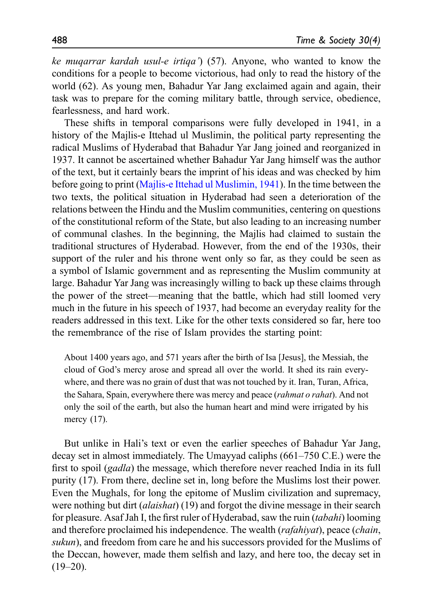ke mugarrar kardah usul-e irtiga') (57). Anyone, who wanted to know the conditions for a people to become victorious, had only to read the history of the world (62). As young men, Bahadur Yar Jang exclaimed again and again, their task was to prepare for the coming military battle, through service, obedience, fearlessness, and hard work.

These shifts in temporal comparisons were fully developed in 1941, in a history of the Majlis-e Ittehad ul Muslimin, the political party representing the radical Muslims of Hyderabad that Bahadur Yar Jang joined and reorganized in 1937. It cannot be ascertained whether Bahadur Yar Jang himself was the author of the text, but it certainly bears the imprint of his ideas and was checked by him before going to print [\(Majlis-e Ittehad ul Muslimin, 1941](#page-15-12)). In the time between the two texts, the political situation in Hyderabad had seen a deterioration of the relations between the Hindu and the Muslim communities, centering on questions of the constitutional reform of the State, but also leading to an increasing number of communal clashes. In the beginning, the Majlis had claimed to sustain the traditional structures of Hyderabad. However, from the end of the 1930s, their support of the ruler and his throne went only so far, as they could be seen as a symbol of Islamic government and as representing the Muslim community at large. Bahadur Yar Jang was increasingly willing to back up these claims through the power of the street—meaning that the battle, which had still loomed very much in the future in his speech of 1937, had become an everyday reality for the readers addressed in this text. Like for the other texts considered so far, here too the remembrance of the rise of Islam provides the starting point:

About 1400 years ago, and 571 years after the birth of Isa [Jesus], the Messiah, the cloud of God's mercy arose and spread all over the world. It shed its rain everywhere, and there was no grain of dust that was not touched by it. Iran, Turan, Africa, the Sahara, Spain, everywhere there was mercy and peace (*rahmat o rahat*). And not only the soil of the earth, but also the human heart and mind were irrigated by his mercy (17).

But unlike in Hali's text or even the earlier speeches of Bahadur Yar Jang, decay set in almost immediately. The Umayyad caliphs (661–750 C.E.) were the first to spoil (gadla) the message, which therefore never reached India in its full purity (17). From there, decline set in, long before the Muslims lost their power. Even the Mughals, for long the epitome of Muslim civilization and supremacy, were nothing but dirt (*alaishat*) (19) and forgot the divine message in their search for pleasure. Asaf Jah I, the first ruler of Hyderabad, saw the ruin (tabahi) looming and therefore proclaimed his independence. The wealth *(rafahiyat)*, peace *(chain*, sukun), and freedom from care he and his successors provided for the Muslims of the Deccan, however, made them selfish and lazy, and here too, the decay set in  $(19-20)$ .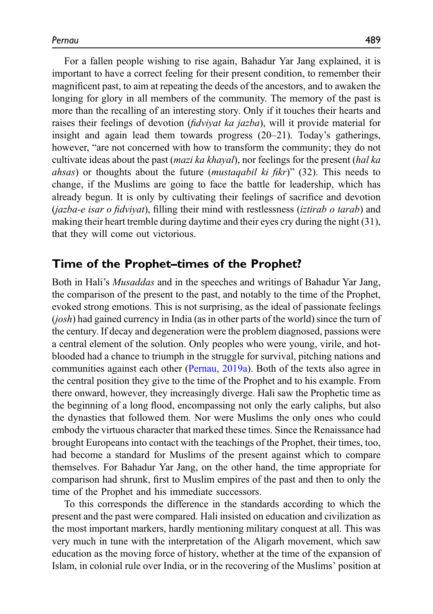For a fallen people wishing to rise again, Bahadur Yar Jang explained, it is important to have a correct feeling for their present condition, to remember their magnificent past, to aim at repeating the deeds of the ancestors, and to awaken the longing for glory in all members of the community. The memory of the past is more than the recalling of an interesting story. Only if it touches their hearts and raises their feelings of devotion (fidviyat ka jazba), will it provide material for insight and again lead them towards progress (20–21). Today's gatherings, however, "are not concerned with how to transform the community; they do not cultivate ideas about the past (mazi ka khayal), nor feelings for the present (hal ka *ahsas*) or thoughts about the future *(mustagabil ki fikr)*" (32). This needs to change, if the Muslims are going to face the battle for leadership, which has already begun. It is only by cultivating their feelings of sacrifice and devotion (jazba-e isar o fidviyat), filling their mind with restlessness (iztirab o tarab) and making their heart tremble during daytime and their eyes cry during the night (31), that they will come out victorious.

## Time of the Prophet–times of the Prophet?

Both in Hali's Musaddas and in the speeches and writings of Bahadur Yar Jang, the comparison of the present to the past, and notably to the time of the Prophet, evoked strong emotions. This is not surprising, as the ideal of passionate feelings (josh) had gained currency in India (as in other parts of the world) since the turn of the century. If decay and degeneration were the problem diagnosed, passions were a central element of the solution. Only peoples who were young, virile, and hotblooded had a chance to triumph in the struggle for survival, pitching nations and communities against each other ([Pernau, 2019a\)](#page-16-3). Both of the texts also agree in the central position they give to the time of the Prophet and to his example. From there onward, however, they increasingly diverge. Hali saw the Prophetic time as the beginning of a long flood, encompassing not only the early caliphs, but also the dynasties that followed them. Nor were Muslims the only ones who could embody the virtuous character that marked these times. Since the Renaissance had brought Europeans into contact with the teachings of the Prophet, their times, too, had become a standard for Muslims of the present against which to compare themselves. For Bahadur Yar Jang, on the other hand, the time appropriate for comparison had shrunk, first to Muslim empires of the past and then to only the time of the Prophet and his immediate successors.

To this corresponds the difference in the standards according to which the present and the past were compared. Hali insisted on education and civilization as the most important markers, hardly mentioning military conquest at all. This was very much in tune with the interpretation of the Aligarh movement, which saw education as the moving force of history, whether at the time of the expansion of Islam, in colonial rule over India, or in the recovering of the Muslims' position at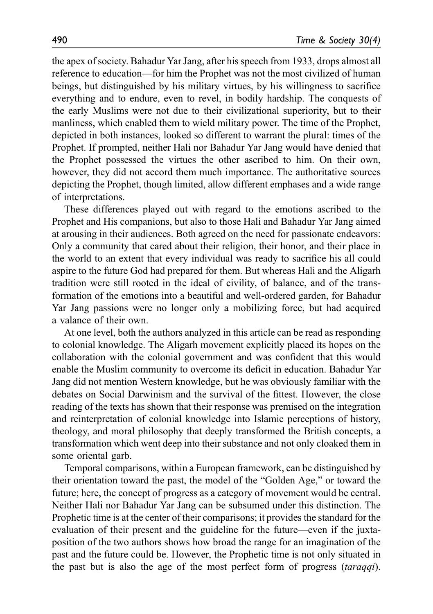the apex of society. Bahadur Yar Jang, after his speech from 1933, drops almost all reference to education—for him the Prophet was not the most civilized of human beings, but distinguished by his military virtues, by his willingness to sacrifice everything and to endure, even to revel, in bodily hardship. The conquests of the early Muslims were not due to their civilizational superiority, but to their manliness, which enabled them to wield military power. The time of the Prophet, depicted in both instances, looked so different to warrant the plural: times of the Prophet. If prompted, neither Hali nor Bahadur Yar Jang would have denied that the Prophet possessed the virtues the other ascribed to him. On their own, however, they did not accord them much importance. The authoritative sources depicting the Prophet, though limited, allow different emphases and a wide range of interpretations.

These differences played out with regard to the emotions ascribed to the Prophet and His companions, but also to those Hali and Bahadur Yar Jang aimed at arousing in their audiences. Both agreed on the need for passionate endeavors: Only a community that cared about their religion, their honor, and their place in the world to an extent that every individual was ready to sacrifice his all could aspire to the future God had prepared for them. But whereas Hali and the Aligarh tradition were still rooted in the ideal of civility, of balance, and of the transformation of the emotions into a beautiful and well-ordered garden, for Bahadur Yar Jang passions were no longer only a mobilizing force, but had acquired a valance of their own.

At one level, both the authors analyzed in this article can be read as responding to colonial knowledge. The Aligarh movement explicitly placed its hopes on the collaboration with the colonial government and was confident that this would enable the Muslim community to overcome its deficit in education. Bahadur Yar Jang did not mention Western knowledge, but he was obviously familiar with the debates on Social Darwinism and the survival of the fittest. However, the close reading of the texts has shown that their response was premised on the integration and reinterpretation of colonial knowledge into Islamic perceptions of history, theology, and moral philosophy that deeply transformed the British concepts, a transformation which went deep into their substance and not only cloaked them in some oriental garb.

Temporal comparisons, within a European framework, can be distinguished by their orientation toward the past, the model of the "Golden Age," or toward the future; here, the concept of progress as a category of movement would be central. Neither Hali nor Bahadur Yar Jang can be subsumed under this distinction. The Prophetic time is at the center of their comparisons; it provides the standard for the evaluation of their present and the guideline for the future—even if the juxtaposition of the two authors shows how broad the range for an imagination of the past and the future could be. However, the Prophetic time is not only situated in the past but is also the age of the most perfect form of progress (taraqqi).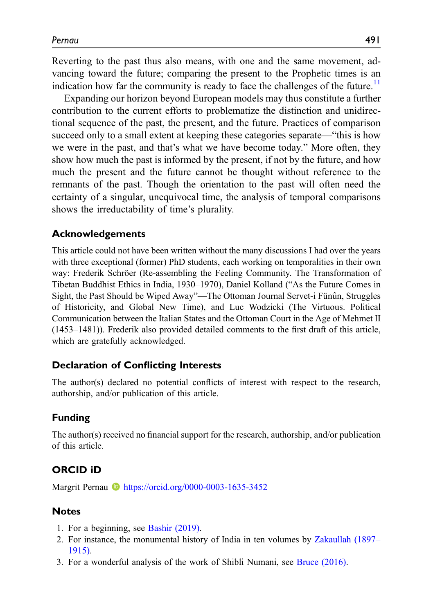Reverting to the past thus also means, with one and the same movement, advancing toward the future; comparing the present to the Prophetic times is an indication how far the community is ready to face the challenges of the future.<sup>[11](#page-15-13)</sup>

Expanding our horizon beyond European models may thus constitute a further contribution to the current efforts to problematize the distinction and unidirectional sequence of the past, the present, and the future. Practices of comparison succeed only to a small extent at keeping these categories separate—"this is how we were in the past, and that's what we have become today." More often, they show how much the past is informed by the present, if not by the future, and how much the present and the future cannot be thought without reference to the remnants of the past. Though the orientation to the past will often need the certainty of a singular, unequivocal time, the analysis of temporal comparisons shows the irreductability of time's plurality.

### Acknowledgements

This article could not have been written without the many discussions I had over the years with three exceptional (former) PhD students, each working on temporalities in their own way: Frederik Schröer (Re-assembling the Feeling Community. The Transformation of Tibetan Buddhist Ethics in India, 1930–1970), Daniel Kolland ("As the Future Comes in Sight, the Past Should be Wiped Away"—The Ottoman Journal Servet-i Fünûn, Struggles of Historicity, and Global New Time), and Luc Wodzicki (The Virtuous. Political Communication between the Italian States and the Ottoman Court in the Age of Mehmet II (1453–1481)). Frederik also provided detailed comments to the first draft of this article, which are gratefully acknowledged.

#### Declaration of Conflicting Interests

The author(s) declared no potential conflicts of interest with respect to the research, authorship, and/or publication of this article.

## Funding

The author(s) received no financial support for the research, authorship, and/or publication of this article.

### ORCID iD

Margrit Pernau **I** <https://orcid.org/0000-0003-1635-3452>

#### **Notes**

- <span id="page-14-0"></span>1. For a beginning, see [Bashir \(2019\)](#page-15-14).
- <span id="page-14-1"></span>2. For instance, the monumental history of India in ten volumes by [Zakaullah \(1897](#page-16-4)– [1915\).](#page-16-4)
- <span id="page-14-2"></span>3. For a wonderful analysis of the work of Shibli Numani, see [Bruce \(2016\).](#page-15-15)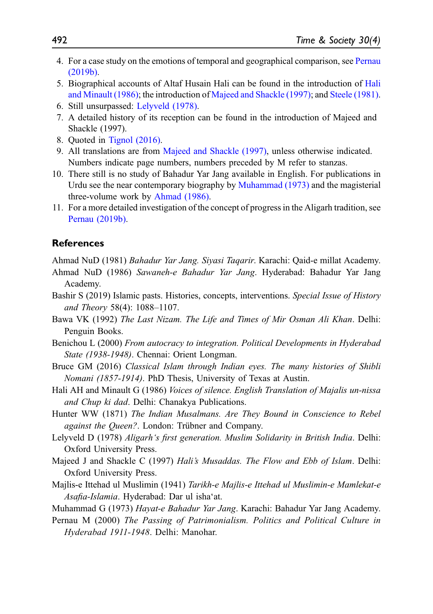- <span id="page-15-0"></span>4. For a case study on the emotions of temporal and geographical comparison, see [Pernau](#page-16-5) [\(2019b\)](#page-16-5).
- <span id="page-15-1"></span>5. Biographical accounts of Altaf Husain Hali can be found in the introduction of [Hali](#page-15-16) [and Minault \(1986\)](#page-15-16); the introduction of [Majeed and Shackle \(1997\)](#page-15-17); and [Steele \(1981\).](#page-16-6)
- <span id="page-15-3"></span>6. Still unsurpassed: [Lelyveld \(1978\).](#page-15-18)
- <span id="page-15-4"></span>7. A detailed history of its reception can be found in the introduction of Majeed and Shackle (1997).
- <span id="page-15-5"></span>8. Quoted in [Tignol \(2016\)](#page-16-7).
- <span id="page-15-6"></span>9. All translations are from [Majeed and Shackle \(1997\)](#page-15-17), unless otherwise indicated. Numbers indicate page numbers, numbers preceded by M refer to stanzas.
- <span id="page-15-10"></span>10. There still is no study of Bahadur Yar Jang available in English. For publications in Urdu see the near contemporary biography by [Muhammad \(1973\)](#page-15-19) and the magisterial three-volume work by [Ahmad \(1986\).](#page-15-20)
- <span id="page-15-13"></span>11. For a more detailed investigation of the concept of progress in the Aligarh tradition, see [Pernau \(2019b\)](#page-16-5).

#### **References**

<span id="page-15-20"></span><span id="page-15-11"></span>Ahmad NuD (1981) Bahadur Yar Jang. Siyasi Taqarir. Karachi: Qaid-e millat Academy.

- Ahmad NuD (1986) Sawaneh-e Bahadur Yar Jang. Hyderabad: Bahadur Yar Jang Academy.
- <span id="page-15-14"></span>Bashir S (2019) Islamic pasts. Histories, concepts, interventions. Special Issue of History and Theory 58(4): 1088–1107.
- <span id="page-15-7"></span>Bawa VK (1992) The Last Nizam. The Life and Times of Mir Osman Ali Khan. Delhi: Penguin Books.
- <span id="page-15-8"></span>Benichou L (2000) From autocracy to integration. Political Developments in Hyderabad State (1938-1948). Chennai: Orient Longman.
- <span id="page-15-15"></span>Bruce GM (2016) Classical Islam through Indian eyes. The many histories of Shibli Nomani (1857-1914). PhD Thesis, University of Texas at Austin.
- <span id="page-15-16"></span>Hali AH and Minault G (1986) Voices of silence. English Translation of Majalis un-nissa and Chup ki dad. Delhi: Chanakya Publications.
- <span id="page-15-2"></span>Hunter WW (1871) The Indian Musalmans. Are They Bound in Conscience to Rebel against the Queen?. London: Trübner and Company.
- <span id="page-15-18"></span>Lelyveld D (1978) Aligarh's first generation. Muslim Solidarity in British India. Delhi: Oxford University Press.
- <span id="page-15-17"></span>Majeed J and Shackle C (1997) Hali's Musaddas. The Flow and Ebb of Islam. Delhi: Oxford University Press.
- <span id="page-15-12"></span>Majlis-e Ittehad ul Muslimin (1941) Tarikh-e Majlis-e Ittehad ul Muslimin-e Mamlekat-e Asafia-Islamia. Hyderabad: Dar ul isha'at.
- <span id="page-15-19"></span>Muhammad G (1973) Hayat-e Bahadur Yar Jang. Karachi: Bahadur Yar Jang Academy.
- <span id="page-15-9"></span>Pernau M (2000) The Passing of Patrimonialism. Politics and Political Culture in Hyderabad 1911-1948. Delhi: Manohar.